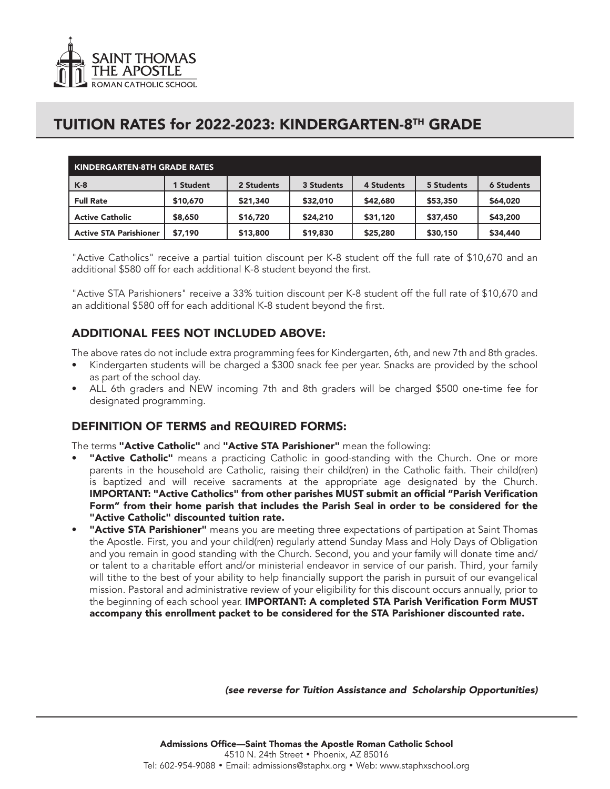

## TUITION RATES for 2022-2023: KINDERGARTEN-8TH GRADE

| KINDERGARTEN-8TH GRADE RATES  |           |            |            |            |            |                   |
|-------------------------------|-----------|------------|------------|------------|------------|-------------------|
| $K-8$                         | 1 Student | 2 Students | 3 Students | 4 Students | 5 Students | <b>6 Students</b> |
| <b>Full Rate</b>              | \$10,670  | \$21,340   | \$32,010   | \$42,680   | \$53,350   | \$64,020          |
| <b>Active Catholic</b>        | \$8,650   | \$16,720   | \$24,210   | \$31,120   | \$37,450   | \$43,200          |
| <b>Active STA Parishioner</b> | \$7,190   | \$13,800   | \$19,830   | \$25,280   | \$30,150   | \$34,440          |

"Active Catholics" receive a partial tuition discount per K-8 student off the full rate of \$10,670 and an additional \$580 off for each additional K-8 student beyond the first.

"Active STA Parishioners" receive a 33% tuition discount per K-8 student off the full rate of \$10,670 and an additional \$580 off for each additional K-8 student beyond the first.

### ADDITIONAL FEES NOT INCLUDED ABOVE:

The above rates do not include extra programming fees for Kindergarten, 6th, and new 7th and 8th grades.

- Kindergarten students will be charged a \$300 snack fee per year. Snacks are provided by the school as part of the school day.
- ALL 6th graders and NEW incoming 7th and 8th graders will be charged \$500 one-time fee for designated programming.

#### DEFINITION OF TERMS and REQUIRED FORMS:

The terms "Active Catholic" and "Active STA Parishioner" mean the following:

- "Active Catholic" means a practicing Catholic in good-standing with the Church. One or more parents in the household are Catholic, raising their child(ren) in the Catholic faith. Their child(ren) is baptized and will receive sacraments at the appropriate age designated by the Church. IMPORTANT: "Active Catholics" from other parishes MUST submit an official "Parish Verification Form" from their home parish that includes the Parish Seal in order to be considered for the "Active Catholic" discounted tuition rate.
- "Active STA Parishioner" means you are meeting three expectations of partipation at Saint Thomas the Apostle. First, you and your child(ren) regularly attend Sunday Mass and Holy Days of Obligation and you remain in good standing with the Church. Second, you and your family will donate time and/ or talent to a charitable effort and/or ministerial endeavor in service of our parish. Third, your family will tithe to the best of your ability to help financially support the parish in pursuit of our evangelical mission. Pastoral and administrative review of your eligibility for this discount occurs annually, prior to the beginning of each school year. IMPORTANT: A completed STA Parish Verification Form MUST accompany this enrollment packet to be considered for the STA Parishioner discounted rate.

*(see reverse for Tuition Assistance and Scholarship Opportunities)*